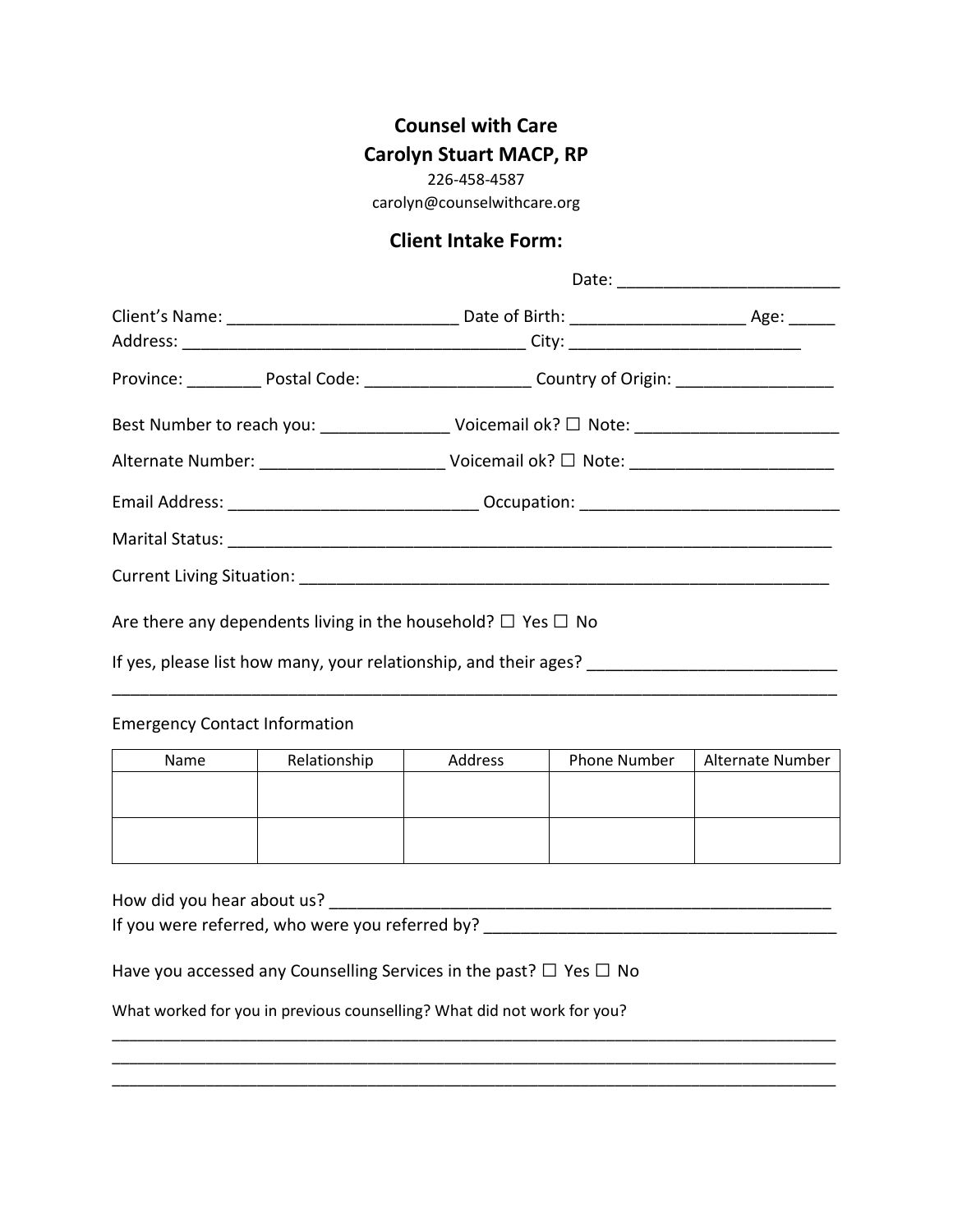## **Counsel with Care Carolyn Stuart MACP, RP**

226-458-4587

carolyn@counselwithcare.org

## **Client Intake Form:**

| Province: ____________ Postal Code: ____________________________ Country of Origin: ______________________ |  |  |  |  |
|------------------------------------------------------------------------------------------------------------|--|--|--|--|
| Best Number to reach you: _______________________ Voicemail ok? □ Note: ___________________________        |  |  |  |  |
|                                                                                                            |  |  |  |  |
|                                                                                                            |  |  |  |  |
|                                                                                                            |  |  |  |  |
|                                                                                                            |  |  |  |  |
| Are there any dependents living in the household? $\Box$ Yes $\Box$ No                                     |  |  |  |  |
| If yes, please list how many, your relationship, and their ages? __________________________________        |  |  |  |  |

Emergency Contact Information

| <b>Name</b> | Relationship | Address | <b>Phone Number</b> | Alternate Number |
|-------------|--------------|---------|---------------------|------------------|
|             |              |         |                     |                  |
|             |              |         |                     |                  |
|             |              |         |                     |                  |
|             |              |         |                     |                  |

| How did you hear about us?                                                   |  |
|------------------------------------------------------------------------------|--|
| If you were referred, who were you referred by?                              |  |
|                                                                              |  |
| Have you accessed any Counselling Services in the past? $\Box$ Yes $\Box$ No |  |
|                                                                              |  |
| What worked for you in previous counselling? What did not work for you?      |  |

\_\_\_\_\_\_\_\_\_\_\_\_\_\_\_\_\_\_\_\_\_\_\_\_\_\_\_\_\_\_\_\_\_\_\_\_\_\_\_\_\_\_\_\_\_\_\_\_\_\_\_\_\_\_\_\_\_\_\_\_\_\_\_\_\_\_\_\_\_\_\_\_\_\_\_\_\_\_\_\_\_\_\_\_\_ \_\_\_\_\_\_\_\_\_\_\_\_\_\_\_\_\_\_\_\_\_\_\_\_\_\_\_\_\_\_\_\_\_\_\_\_\_\_\_\_\_\_\_\_\_\_\_\_\_\_\_\_\_\_\_\_\_\_\_\_\_\_\_\_\_\_\_\_\_\_\_\_\_\_\_\_\_\_\_\_\_\_\_\_\_ \_\_\_\_\_\_\_\_\_\_\_\_\_\_\_\_\_\_\_\_\_\_\_\_\_\_\_\_\_\_\_\_\_\_\_\_\_\_\_\_\_\_\_\_\_\_\_\_\_\_\_\_\_\_\_\_\_\_\_\_\_\_\_\_\_\_\_\_\_\_\_\_\_\_\_\_\_\_\_\_\_\_\_\_\_